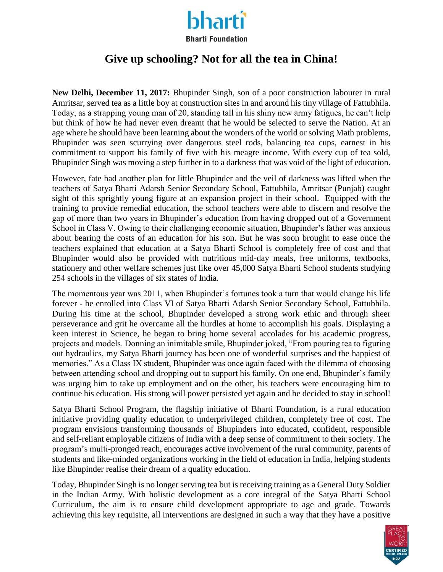

## **Bharti Foundation**

## **Give up schooling? Not for all the tea in China!**

**New Delhi, December 11, 2017:** Bhupinder Singh, son of a poor construction labourer in rural Amritsar, served tea as a little boy at construction sites in and around his tiny village of Fattubhila. Today, as a strapping young man of 20, standing tall in his shiny new army fatigues, he can't help but think of how he had never even dreamt that he would be selected to serve the Nation. At an age where he should have been learning about the wonders of the world or solving Math problems, Bhupinder was seen scurrying over dangerous steel rods, balancing tea cups, earnest in his commitment to support his family of five with his meagre income. With every cup of tea sold, Bhupinder Singh was moving a step further in to a darkness that was void of the light of education.

However, fate had another plan for little Bhupinder and the veil of darkness was lifted when the teachers of Satya Bharti Adarsh Senior Secondary School, Fattubhila, Amritsar (Punjab) caught sight of this sprightly young figure at an expansion project in their school. Equipped with the training to provide remedial education, the school teachers were able to discern and resolve the gap of more than two years in Bhupinder's education from having dropped out of a Government School in Class V. Owing to their challenging economic situation, Bhupinder's father was anxious about bearing the costs of an education for his son. But he was soon brought to ease once the teachers explained that education at a Satya Bharti School is completely free of cost and that Bhupinder would also be provided with nutritious mid-day meals, free uniforms, textbooks, stationery and other welfare schemes just like over 45,000 Satya Bharti School students studying 254 schools in the villages of six states of India.

The momentous year was 2011, when Bhupinder's fortunes took a turn that would change his life forever - he enrolled into Class VI of Satya Bharti Adarsh Senior Secondary School, Fattubhila. During his time at the school, Bhupinder developed a strong work ethic and through sheer perseverance and grit he overcame all the hurdles at home to accomplish his goals. Displaying a keen interest in Science, he began to bring home several accolades for his academic progress, projects and models. Donning an inimitable smile, Bhupinder joked, "From pouring tea to figuring out hydraulics, my Satya Bharti journey has been one of wonderful surprises and the happiest of memories." As a Class IX student, Bhupinder was once again faced with the dilemma of choosing between attending school and dropping out to support his family. On one end, Bhupinder's family was urging him to take up employment and on the other, his teachers were encouraging him to continue his education. His strong will power persisted yet again and he decided to stay in school!

Satya Bharti School Program, the flagship initiative of Bharti Foundation, is a rural education initiative providing quality education to underprivileged children, completely free of cost. The program envisions transforming thousands of Bhupinders into educated, confident, responsible and self-reliant employable citizens of India with a deep sense of commitment to their society. The program's multi-pronged reach, encourages active involvement of the rural community, parents of students and like-minded organizations working in the field of education in India, helping students like Bhupinder realise their dream of a quality education.

Today, Bhupinder Singh is no longer serving tea but is receiving training as a General Duty Soldier in the Indian Army. With holistic development as a core integral of the Satya Bharti School Curriculum, the aim is to ensure child development appropriate to age and grade. Towards achieving this key requisite, all interventions are designed in such a way that they have a positive